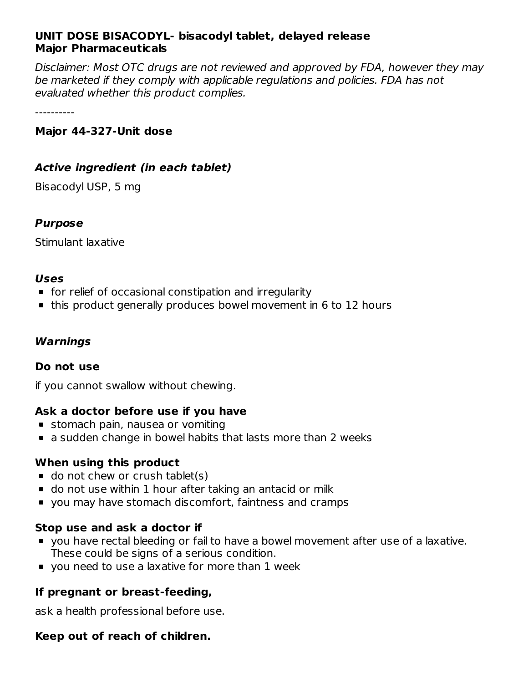#### **UNIT DOSE BISACODYL- bisacodyl tablet, delayed release Major Pharmaceuticals**

Disclaimer: Most OTC drugs are not reviewed and approved by FDA, however they may be marketed if they comply with applicable regulations and policies. FDA has not evaluated whether this product complies.

----------

#### **Major 44-327-Unit dose**

### **Active ingredient (in each tablet)**

Bisacodyl USP, 5 mg

#### **Purpose**

Stimulant laxative

#### **Uses**

- **for relief of occasional constipation and irregularity**
- this product generally produces bowel movement in 6 to 12 hours

### **Warnings**

#### **Do not use**

if you cannot swallow without chewing.

#### **Ask a doctor before use if you have**

- **stomach pain, nausea or vomiting**
- a sudden change in bowel habits that lasts more than 2 weeks

#### **When using this product**

- $\blacksquare$  do not chew or crush tablet(s)
- do not use within 1 hour after taking an antacid or milk
- you may have stomach discomfort, faintness and cramps

#### **Stop use and ask a doctor if**

- you have rectal bleeding or fail to have a bowel movement after use of a laxative. These could be signs of a serious condition.
- **v** you need to use a laxative for more than 1 week

#### **If pregnant or breast-feeding,**

ask a health professional before use.

#### **Keep out of reach of children.**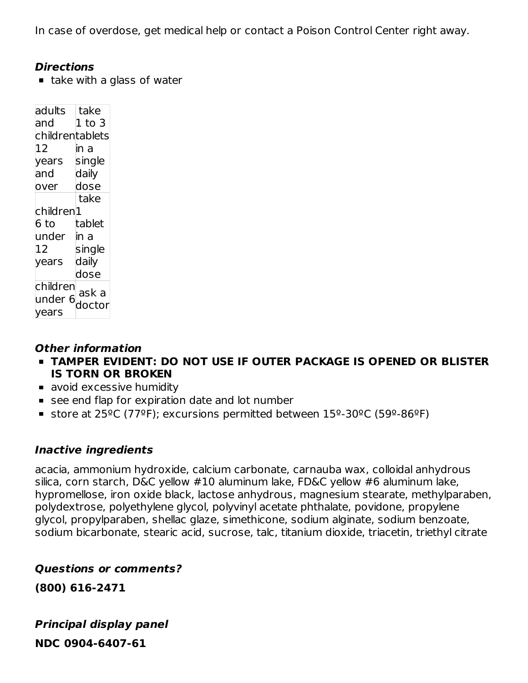In case of overdose, get medical help or contact a Poison Control Center right away.

#### **Directions**

 $\blacksquare$  take with a glass of water

| ladults<br>land                 | take<br>1 to 3  |
|---------------------------------|-----------------|
| childrentablets<br>12           |                 |
| years                           | in a<br>single  |
| and<br>over                     | daily<br>dose   |
|                                 | take            |
| children                        | 1               |
| 6 to                            | tablet          |
| under                           | in a            |
| 12                              | single          |
| vears                           | daily           |
|                                 | dose            |
| children<br>under<br>6<br>ears/ | ask a<br>doctor |

#### **Other information**

- **TAMPER EVIDENT: DO NOT USE IF OUTER PACKAGE IS OPENED OR BLISTER IS TORN OR BROKEN**
- **avoid excessive humidity**
- see end flap for expiration date and lot number
- store at 25ºC (77ºF); excursions permitted between 15º-30ºC (59º-86ºF)

## **Inactive ingredients**

acacia, ammonium hydroxide, calcium carbonate, carnauba wax, colloidal anhydrous silica, corn starch, D&C yellow #10 aluminum lake, FD&C yellow #6 aluminum lake, hypromellose, iron oxide black, lactose anhydrous, magnesium stearate, methylparaben, polydextrose, polyethylene glycol, polyvinyl acetate phthalate, povidone, propylene glycol, propylparaben, shellac glaze, simethicone, sodium alginate, sodium benzoate, sodium bicarbonate, stearic acid, sucrose, talc, titanium dioxide, triacetin, triethyl citrate

#### **Questions or comments?**

**(800) 616-2471**

**®**

**Principal display panel NDC 0904-6407-61**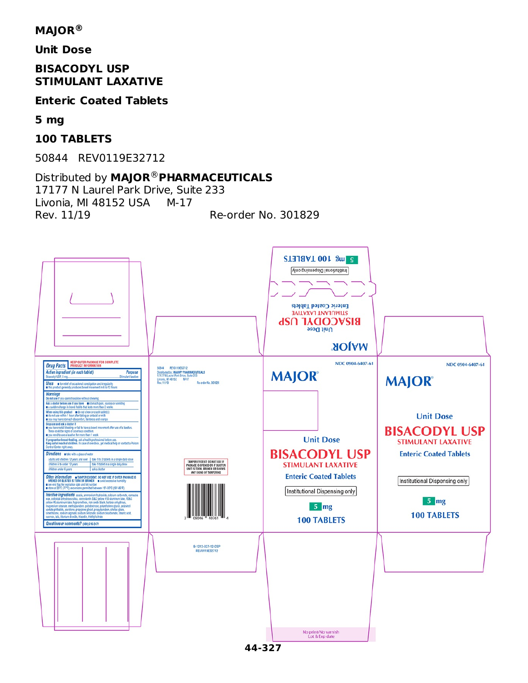## **MAJOR ®**

**Unit Dose**

#### **BISACODYL USP STIMULANT LAXATIVE**

**Enteric Coated Tablets**

**5 mg**

## **100 TABLETS**

50844 REV0119E32712

## Distributed by **MAJOR PHARMACEUTICALS** ®

17177 N Laurel Park Drive, Suite 233 Livonia, MI 48152 USA M-17 Rev. 11/19 Re-order No. 301829

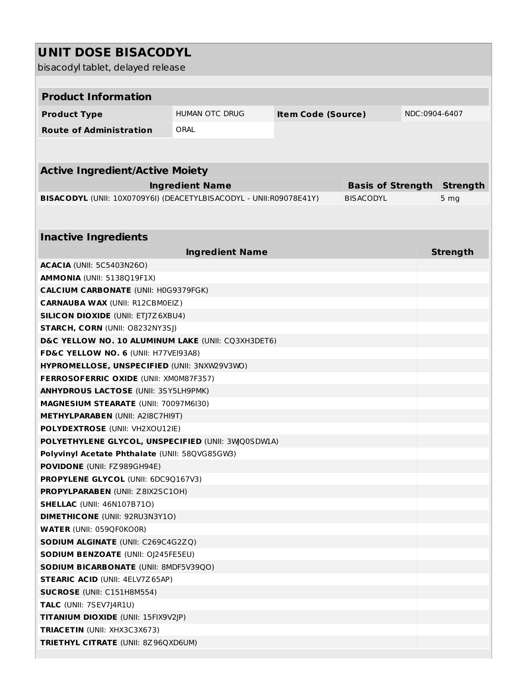| <b>UNIT DOSE BISACODYL</b>                                                             |                        |                           |                          |  |                 |  |
|----------------------------------------------------------------------------------------|------------------------|---------------------------|--------------------------|--|-----------------|--|
| bisacodyl tablet, delayed release                                                      |                        |                           |                          |  |                 |  |
|                                                                                        |                        |                           |                          |  |                 |  |
|                                                                                        |                        |                           |                          |  |                 |  |
| <b>Product Information</b>                                                             |                        |                           |                          |  |                 |  |
| <b>Product Type</b>                                                                    | <b>HUMAN OTC DRUG</b>  | <b>Item Code (Source)</b> |                          |  | NDC:0904-6407   |  |
| <b>Route of Administration</b>                                                         | ORAL                   |                           |                          |  |                 |  |
|                                                                                        |                        |                           |                          |  |                 |  |
|                                                                                        |                        |                           |                          |  |                 |  |
| <b>Active Ingredient/Active Moiety</b>                                                 |                        |                           |                          |  |                 |  |
|                                                                                        | <b>Ingredient Name</b> |                           | <b>Basis of Strength</b> |  | <b>Strength</b> |  |
| BISACODYL (UNII: 10X0709Y6I) (DEACETYLBISACODYL - UNII:R09078E41Y)                     |                        |                           | <b>BISACODYL</b>         |  | 5 <sub>mg</sub> |  |
|                                                                                        |                        |                           |                          |  |                 |  |
|                                                                                        |                        |                           |                          |  |                 |  |
| <b>Inactive Ingredients</b>                                                            |                        |                           |                          |  |                 |  |
|                                                                                        | <b>Ingredient Name</b> |                           |                          |  | <b>Strength</b> |  |
| <b>ACACIA</b> (UNII: 5C5403N26O)                                                       |                        |                           |                          |  |                 |  |
| <b>AMMONIA (UNII: 5138019F1X)</b>                                                      |                        |                           |                          |  |                 |  |
| <b>CALCIUM CARBONATE (UNII: H0G9379FGK)</b>                                            |                        |                           |                          |  |                 |  |
| <b>CARNAUBA WAX (UNII: R12CBM0EIZ)</b>                                                 |                        |                           |                          |  |                 |  |
| <b>SILICON DIOXIDE (UNII: ETJ7Z6XBU4)</b>                                              |                        |                           |                          |  |                 |  |
| STARCH, CORN (UNII: O8232NY3SJ)                                                        |                        |                           |                          |  |                 |  |
| D&C YELLOW NO. 10 ALUMINUM LAKE (UNII: CQ3XH3DET6)                                     |                        |                           |                          |  |                 |  |
| FD&C YELLOW NO. 6 (UNII: H77VEI93A8)                                                   |                        |                           |                          |  |                 |  |
| HYPROMELLOSE, UNSPECIFIED (UNII: 3NXW29V3WO)                                           |                        |                           |                          |  |                 |  |
| FERROSOFERRIC OXIDE (UNII: XM0M87F357)                                                 |                        |                           |                          |  |                 |  |
| <b>ANHYDROUS LACTOSE (UNII: 3SY5LH9PMK)</b>                                            |                        |                           |                          |  |                 |  |
| MAGNESIUM STEARATE (UNII: 70097M6I30)                                                  |                        |                           |                          |  |                 |  |
| <b>METHYLPARABEN (UNII: A2I8C7HI9T)</b>                                                |                        |                           |                          |  |                 |  |
| POLYDEXTROSE (UNII: VH2XOU12IE)                                                        |                        |                           |                          |  |                 |  |
| POLYETHYLENE GLYCOL, UNSPECIFIED (UNII: 3WQ0SDWLA)                                     |                        |                           |                          |  |                 |  |
| Polyvinyl Acetate Phthalate (UNII: 58QVG85GW3)                                         |                        |                           |                          |  |                 |  |
| POVIDONE (UNII: FZ989GH94E)                                                            |                        |                           |                          |  |                 |  |
| <b>PROPYLENE GLYCOL (UNII: 6DC9Q167V3)</b>                                             |                        |                           |                          |  |                 |  |
| <b>PROPYLPARABEN (UNII: Z8IX2SC10H)</b>                                                |                        |                           |                          |  |                 |  |
| <b>SHELLAC (UNII: 46N107B710)</b>                                                      |                        |                           |                          |  |                 |  |
| <b>DIMETHICONE (UNII: 92RU3N3Y1O)</b>                                                  |                        |                           |                          |  |                 |  |
| <b>WATER (UNII: 059QF0KO0R)</b>                                                        |                        |                           |                          |  |                 |  |
| <b>SODIUM ALGINATE (UNII: C269C4G2ZQ)</b>                                              |                        |                           |                          |  |                 |  |
| <b>SODIUM BENZOATE (UNII: OJ245FE5EU)</b>                                              |                        |                           |                          |  |                 |  |
| <b>SODIUM BICARBONATE (UNII: 8MDF5V39QO)</b><br><b>STEARIC ACID (UNII: 4ELV7Z65AP)</b> |                        |                           |                          |  |                 |  |
| SUCROSE (UNII: C151H8M554)                                                             |                        |                           |                          |  |                 |  |
| TALC (UNII: 7SEV7J4R1U)                                                                |                        |                           |                          |  |                 |  |
| TITANIUM DIOXIDE (UNII: 15FIX9V2JP)                                                    |                        |                           |                          |  |                 |  |
| <b>TRIACETIN (UNII: XHX3C3X673)</b>                                                    |                        |                           |                          |  |                 |  |
| TRIETHYL CITRATE (UNII: 8Z96QXD6UM)                                                    |                        |                           |                          |  |                 |  |
|                                                                                        |                        |                           |                          |  |                 |  |